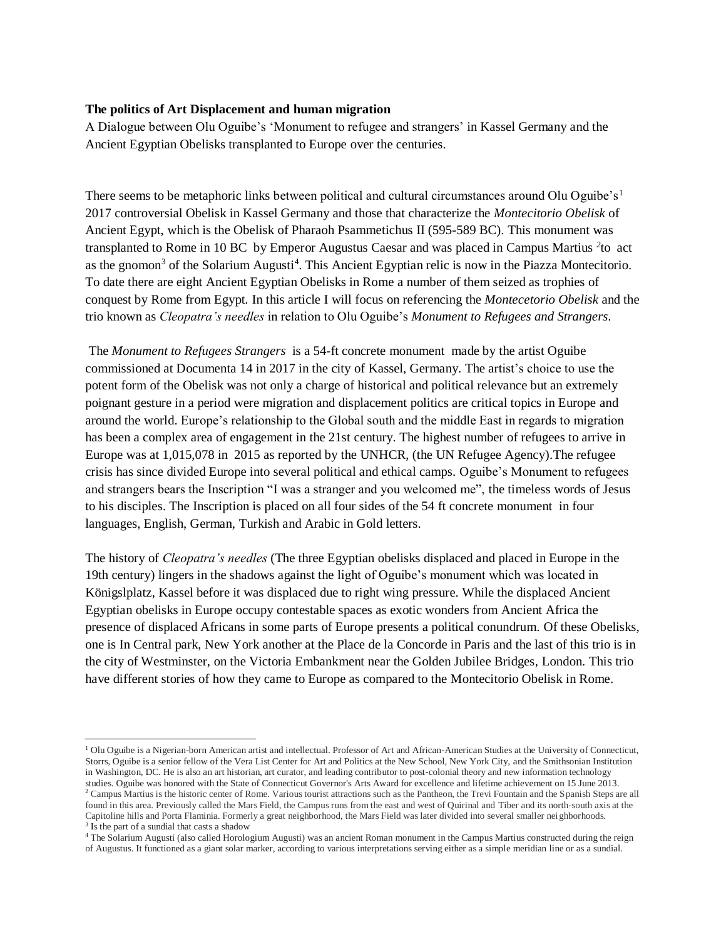## **The politics of Art Displacement and human migration**

A Dialogue between Olu Oguibe's 'Monument to refugee and strangers' in Kassel Germany and the Ancient Egyptian Obelisks transplanted to Europe over the centuries.

There seems to be metaphoric links between political and cultural circumstances around Olu Oguibe's<sup>1</sup> 2017 controversial Obelisk in Kassel Germany and those that characterize the *Montecitorio Obelisk* of Ancient Egypt, which is the Obelisk of Pharaoh Psammetichus II (595-589 BC). This monument was transplanted to Rome in 10 BC by Emperor Augustus Caesar and was placed in Campus Martius *<sup>2</sup>* to act as the gnomon<sup>3</sup> of the Solarium Augusti<sup>4</sup>. This Ancient Egyptian relic is now in the Piazza Montecitorio. To date there are eight Ancient Egyptian Obelisks in Rome a number of them seized as trophies of conquest by Rome from Egypt. In this article I will focus on referencing the *Montecetorio Obelisk* and the trio known as *Cleopatra's needles* in relation to Olu Oguibe's *Monument to Refugees and Strangers*.

The *Monument to Refugees Strangers* is a 54-ft concrete monument made by the artist Oguibe commissioned at Documenta 14 in 2017 in the city of Kassel, Germany. The artist's choice to use the potent form of the Obelisk was not only a charge of historical and political relevance but an extremely poignant gesture in a period were migration and displacement politics are critical topics in Europe and around the world. Europe's relationship to the Global south and the middle East in regards to migration has been a complex area of engagement in the 21st century. The highest number of refugees to arrive in Europe was at 1,015,078 in 2015 as reported by the UNHCR, (the UN Refugee Agency).The refugee crisis has since divided Europe into several political and ethical camps. Oguibe's Monument to refugees and strangers bears the Inscription "I was a stranger and you welcomed me", the timeless words of Jesus to his disciples. The Inscription is placed on all four sides of the 54 ft concrete monument in four languages, English, German, Turkish and Arabic in Gold letters.

The history of *Cleopatra's needles* (The three Egyptian obelisks displaced and placed in Europe in the 19th century) lingers in the shadows against the light of Oguibe's monument which was located in Königslplatz, Kassel before it was displaced due to right wing pressure. While the displaced Ancient Egyptian obelisks in Europe occupy contestable spaces as exotic wonders from Ancient Africa the presence of displaced Africans in some parts of Europe presents a political conundrum. Of these Obelisks, one is In Central park, New York another at the Place de la Concorde in Paris and the last of this trio is in the city of Westminster, on the Victoria Embankment near the Golden Jubilee Bridges, London. This trio have different stories of how they came to Europe as compared to the Montecitorio Obelisk in Rome.

<sup>1</sup> Olu Oguibe is a Nigerian-born American artist and intellectual. Professor of Art and African-American Studies at the University of Connecticut, Storrs, Oguibe is a senior fellow of the Vera List Center for Art and Politics at the New School, New York City, and the Smithsonian Institution in Washington, DC. He is also an art historian, art curator, and leading contributor to post-colonial theory and new information technology studies. Oguibe was honored with the State of Connecticut Governor's Arts Award for excellence and lifetime achievement on 15 June 2013. <sup>2</sup> Campus Martius is the historic center of Rome. Various tourist attractions such as the Pantheon, the Trevi Fountain and the Spanish Steps are all found in this area. Previously called the Mars Field, the Campus runs from the east and west of Quirinal and Tiber and its north-south axis at the Capitoline hills and Porta Flaminia. Formerly a great neighborhood, the Mars Field was later divided into several smaller neighborhoods.

<sup>&</sup>lt;sup>3</sup> Is the part of a sundial that casts a shadow

<sup>4</sup> The Solarium Augusti (also called Horologium Augusti) was an ancient Roman monument in the Campus Martius constructed during the reign of Augustus. It functioned as a giant solar marker, according to various interpretations serving either as a simple meridian line or as a sundial.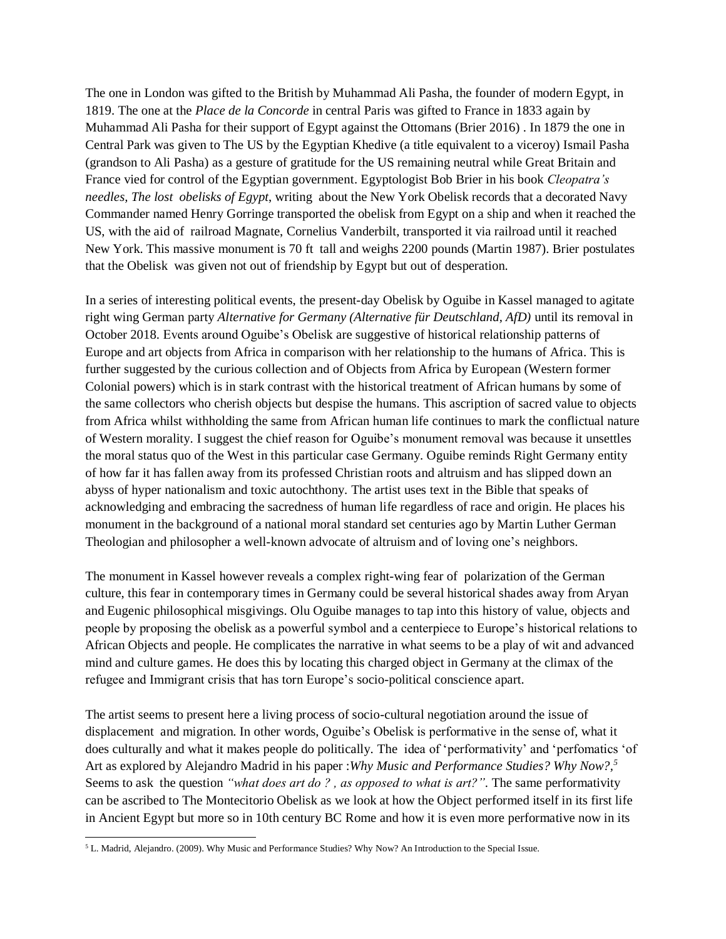The one in London was gifted to the British by Muhammad Ali Pasha, the founder of modern Egypt, in 1819. The one at the *Place de la Concorde* in central Paris was gifted to France in 1833 again by Muhammad Ali Pasha for their support of Egypt against the Ottomans (Brier 2016) . In 1879 the one in Central Park was given to The US by the Egyptian Khedive (a title equivalent to a viceroy) Ismail Pasha (grandson to Ali Pasha) as a gesture of gratitude for the US remaining neutral while Great Britain and France vied for control of the Egyptian government. Egyptologist Bob Brier in his book *Cleopatra's needles, The lost obelisks of Egypt*, writing about the New York Obelisk records that a decorated Navy Commander named Henry Gorringe transported the obelisk from Egypt on a ship and when it reached the US, with the aid of railroad Magnate, Cornelius Vanderbilt, transported it via railroad until it reached New York. This massive monument is 70 ft tall and weighs 2200 pounds (Martin 1987). Brier postulates that the Obelisk was given not out of friendship by Egypt but out of desperation.

In a series of interesting political events, the present-day Obelisk by Oguibe in Kassel managed to agitate right wing German party *Alternative for Germany (Alternative für Deutschland, AfD)* until its removal in October 2018. Events around Oguibe's Obelisk are suggestive of historical relationship patterns of Europe and art objects from Africa in comparison with her relationship to the humans of Africa. This is further suggested by the curious collection and of Objects from Africa by European (Western former Colonial powers) which is in stark contrast with the historical treatment of African humans by some of the same collectors who cherish objects but despise the humans. This ascription of sacred value to objects from Africa whilst withholding the same from African human life continues to mark the conflictual nature of Western morality. I suggest the chief reason for Oguibe's monument removal was because it unsettles the moral status quo of the West in this particular case Germany. Oguibe reminds Right Germany entity of how far it has fallen away from its professed Christian roots and altruism and has slipped down an abyss of hyper nationalism and toxic autochthony. The artist uses text in the Bible that speaks of acknowledging and embracing the sacredness of human life regardless of race and origin. He places his monument in the background of a national moral standard set centuries ago by Martin Luther German Theologian and philosopher a well-known advocate of altruism and of loving one's neighbors.

The monument in Kassel however reveals a complex right-wing fear of polarization of the German culture, this fear in contemporary times in Germany could be several historical shades away from Aryan and Eugenic philosophical misgivings. Olu Oguibe manages to tap into this history of value, objects and people by proposing the obelisk as a powerful symbol and a centerpiece to Europe's historical relations to African Objects and people. He complicates the narrative in what seems to be a play of wit and advanced mind and culture games. He does this by locating this charged object in Germany at the climax of the refugee and Immigrant crisis that has torn Europe's socio-political conscience apart.

The artist seems to present here a living process of socio-cultural negotiation around the issue of displacement and migration. In other words, Oguibe's Obelisk is performative in the sense of, what it does culturally and what it makes people do politically. The idea of 'performativity' and 'perfomatics 'of Art as explored by Alejandro Madrid in his paper :*Why Music and Performance Studies? Why Now?, 5* Seems to ask the question *"what does art do ? , as opposed to what is art?"*. The same performativity can be ascribed to The Montecitorio Obelisk as we look at how the Object performed itself in its first life in Ancient Egypt but more so in 10th century BC Rome and how it is even more performative now in its

<sup>5</sup> L. Madrid, Alejandro. (2009). Why Music and Performance Studies? Why Now? An Introduction to the Special Issue.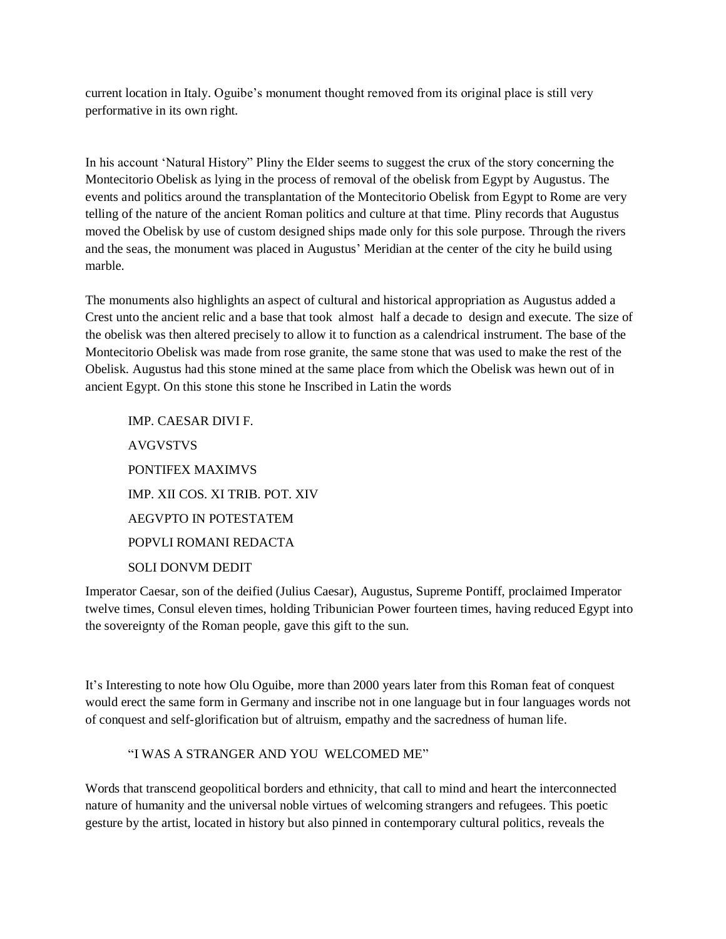current location in Italy. Oguibe's monument thought removed from its original place is still very performative in its own right.

In his account 'Natural History" Pliny the Elder seems to suggest the crux of the story concerning the Montecitorio Obelisk as lying in the process of removal of the obelisk from Egypt by Augustus. The events and politics around the transplantation of the Montecitorio Obelisk from Egypt to Rome are very telling of the nature of the ancient Roman politics and culture at that time. Pliny records that Augustus moved the Obelisk by use of custom designed ships made only for this sole purpose. Through the rivers and the seas, the monument was placed in Augustus' Meridian at the center of the city he build using marble.

The monuments also highlights an aspect of cultural and historical appropriation as Augustus added a Crest unto the ancient relic and a base that took almost half a decade to design and execute. The size of the obelisk was then altered precisely to allow it to function as a calendrical instrument. The base of the Montecitorio Obelisk was made from rose granite, the same stone that was used to make the rest of the Obelisk. Augustus had this stone mined at the same place from which the Obelisk was hewn out of in ancient Egypt. On this stone this stone he Inscribed in Latin the words

IMP. CAESAR DIVI F. AVGVSTVS PONTIFEX MAXIMVS IMP. XII COS. XI TRIB. POT. XIV AEGVPTO IN POTESTATEM POPVLI ROMANI REDACTA SOLI DONVM DEDIT

Imperator Caesar, son of the deified (Julius Caesar), Augustus, Supreme Pontiff, proclaimed Imperator twelve times, Consul eleven times, holding Tribunician Power fourteen times, having reduced Egypt into the sovereignty of the Roman people, gave this gift to the sun.

It's Interesting to note how Olu Oguibe, more than 2000 years later from this Roman feat of conquest would erect the same form in Germany and inscribe not in one language but in four languages words not of conquest and self-glorification but of altruism, empathy and the sacredness of human life.

## "I WAS A STRANGER AND YOU WELCOMED ME"

Words that transcend geopolitical borders and ethnicity, that call to mind and heart the interconnected nature of humanity and the universal noble virtues of welcoming strangers and refugees. This poetic gesture by the artist, located in history but also pinned in contemporary cultural politics, reveals the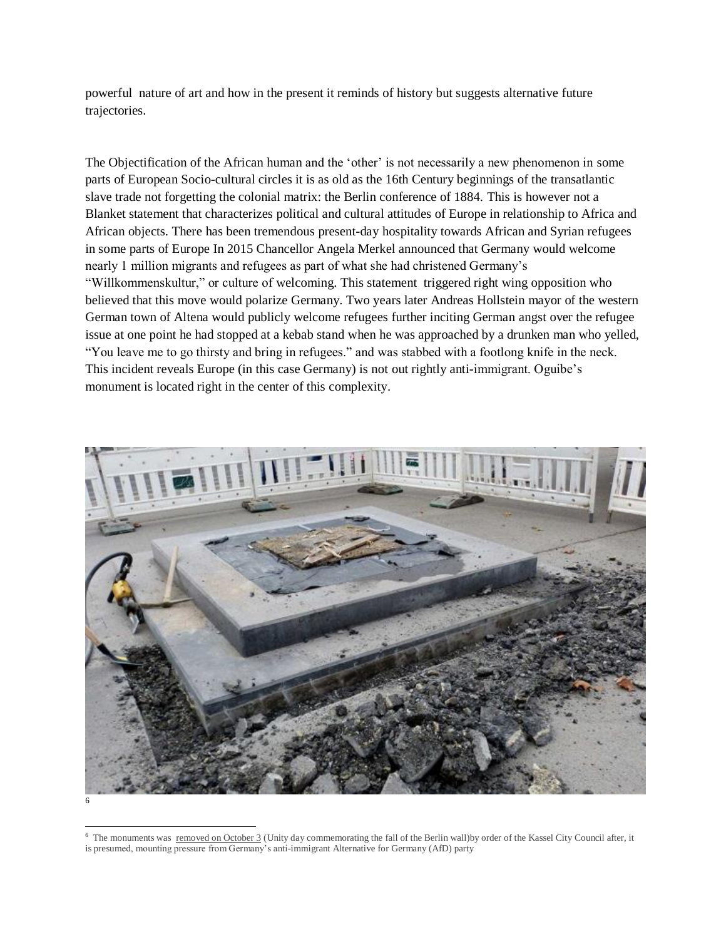powerful nature of art and how in the present it reminds of history but suggests alternative future trajectories.

The Objectification of the African human and the 'other' is not necessarily a new phenomenon in some parts of European Socio-cultural circles it is as old as the 16th Century beginnings of the transatlantic slave trade not forgetting the colonial matrix: the Berlin conference of 1884. This is however not a Blanket statement that characterizes political and cultural attitudes of Europe in relationship to Africa and African objects. There has been tremendous present-day hospitality towards African and Syrian refugees in some parts of Europe In 2015 Chancellor Angela Merkel announced that Germany would welcome nearly 1 million migrants and refugees as part of what she had christened Germany's "Willkommenskultur," or culture of welcoming. This statement triggered right wing opposition who believed that this move would polarize Germany. Two years later Andreas Hollstein mayor of the western German town of Altena would publicly welcome refugees further inciting German angst over the refugee issue at one point he had stopped at a kebab stand when he was approached by a drunken man who yelled, "You leave me to go thirsty and bring in refugees." and was stabbed with a footlong knife in the neck. This incident reveals Europe (in this case Germany) is not out rightly anti-immigrant. Oguibe's monument is located right in the center of this complexity.



<sup>&</sup>lt;sup>6</sup> The monuments was [removed on October 3](https://hyperallergic.com/463819/on-day-of-german-unity-city-of-kassel-removes-artists-monument-for-refugees/) (Unity day commemorating the fall of the Berlin wall)by order of the Kassel City Council after, it is presumed, mounting pressure from Germany's anti-immigrant Alternative for Germany (AfD) party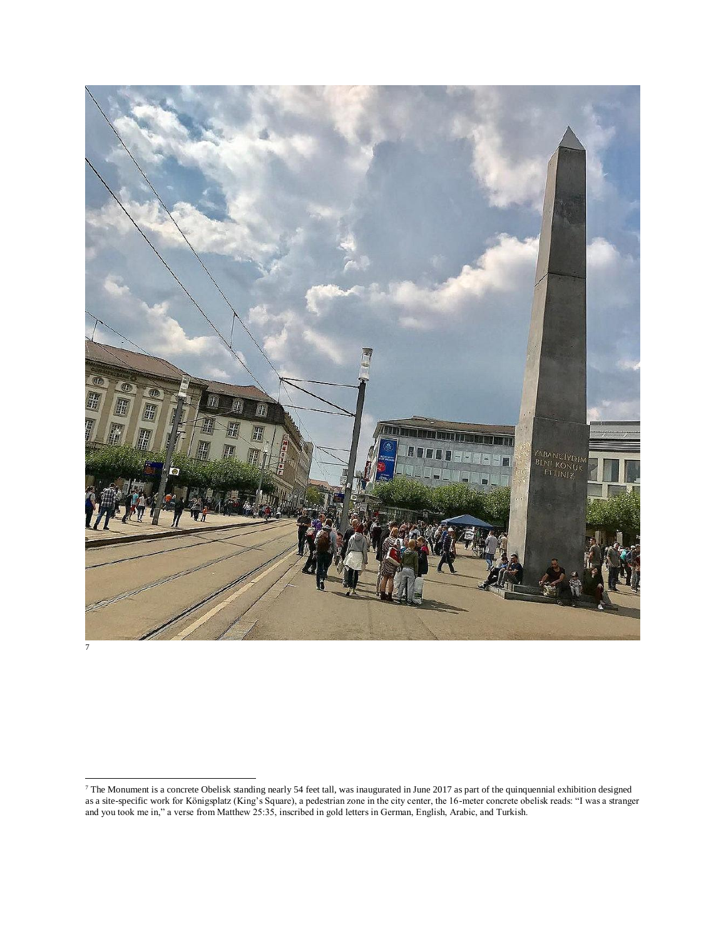



 $^7$  The Monument is a concrete Obelisk standing nearly 54 feet tall, was inaugurated in June 2017 as part of the quinquennial exhibition designed as a site-specific work for Königsplatz (King's Square), a pedestrian zone in the city center, the 16-meter concrete obelisk reads: "I was a stranger and you took me in," a verse from Matthew 25:35, inscribed in gold letters in German, English, Arabic, and Turkish.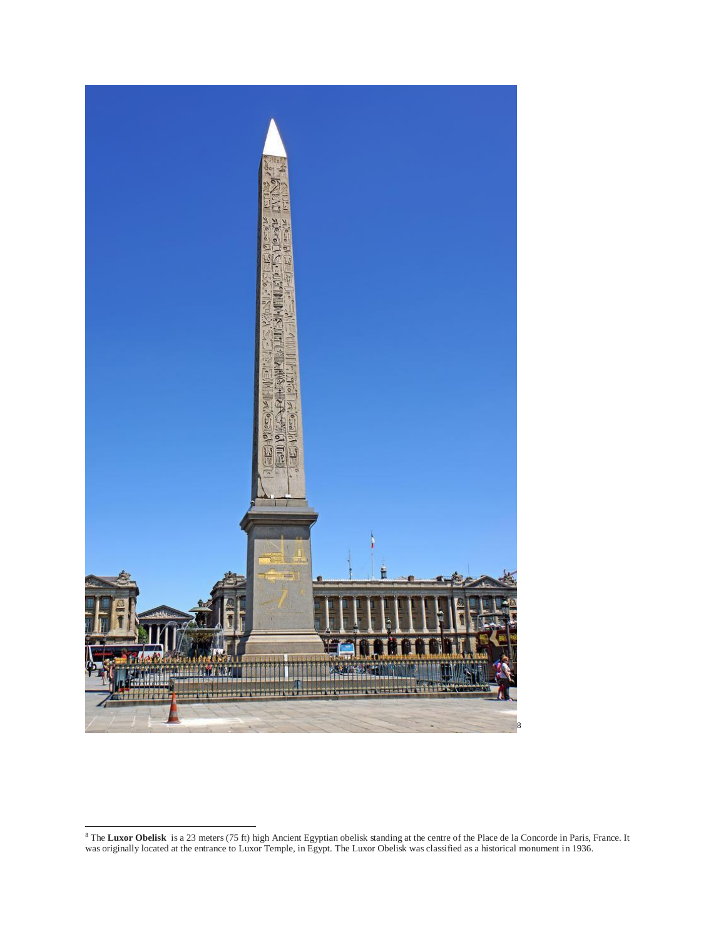

 The **Luxor Obelisk** is a 23 meters (75 ft) high Ancient Egyptian obelisk standing at the centre of the Place de la Concorde in Paris, France. It was originally located at the entrance to Luxor Temple, in Egypt. The Luxor Obelisk was classified as a historical monument in 1936.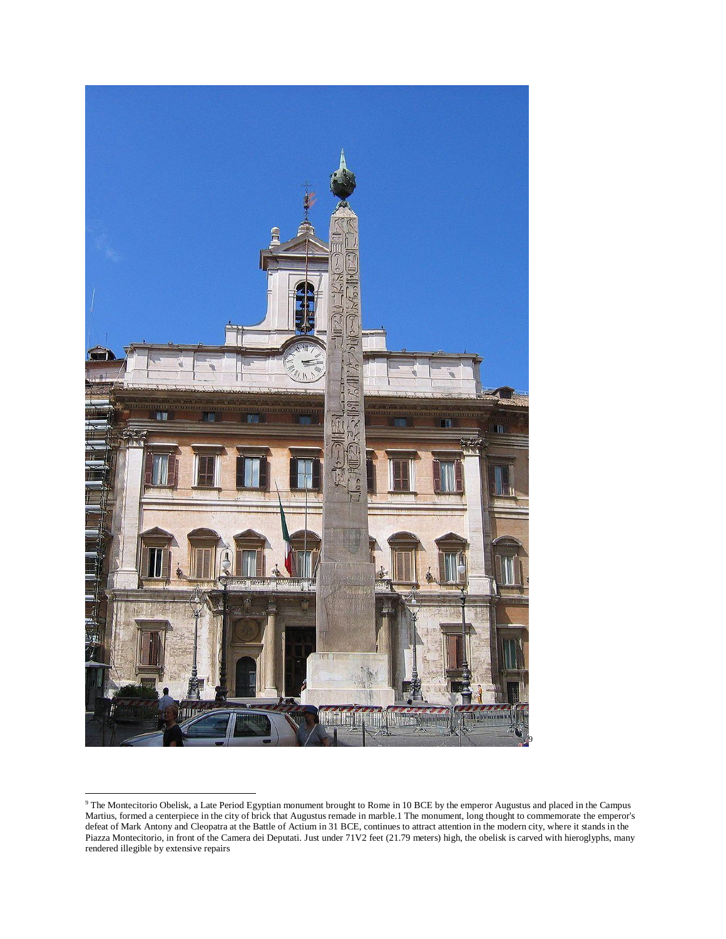

<sup>9</sup> The Montecitorio Obelisk, a Late Period Egyptian monument brought to Rome in 10 BCE by the emperor Augustus and placed in the Campus Martius, formed a centerpiece in the city of brick that Augustus remade in marble.1 The monument, long thought to commemorate the emperor's defeat of Mark Antony and Cleopatra at the Battle of Actium in 31 BCE, continues to attract attention in the modern city, where it stands in the Piazza Montecitorio, in front of the Camera dei Deputati. Just under 71V2 feet (21.79 meters) high, the obelisk is carved with hieroglyphs, many rendered illegible by extensive repairs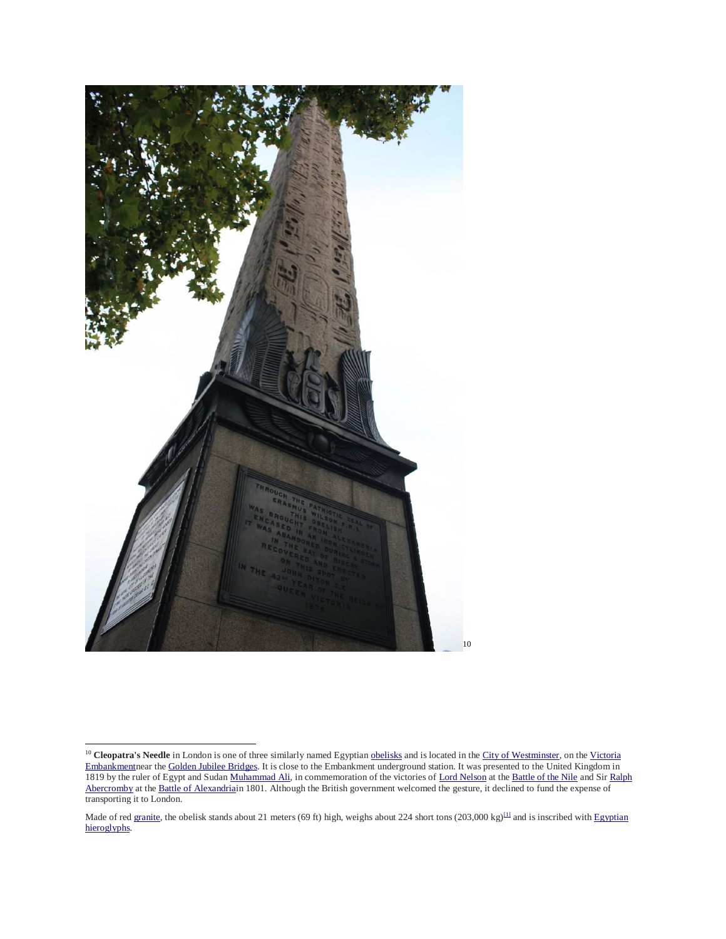

<sup>&</sup>lt;sup>10</sup> Cleopatra's Needle in London is one of three similarly named Egyptian **obelisks** and is located in the [City of Westminster,](https://en.wikipedia.org/wiki/City_of_Westminster) on the Victoria [Embankmentn](https://en.wikipedia.org/wiki/Victoria_Embankment)ear th[e Golden Jubilee Bridges.](https://en.wikipedia.org/wiki/Hungerford_Bridge) It is close to the Embankment underground station. It was presented to the United Kingdom in 1819 by the ruler of Egypt and Suda[n Muhammad Ali,](https://en.wikipedia.org/wiki/Muhammad_Ali_of_Egypt) in commemoration of the victories o[f Lord Nelson](https://en.wikipedia.org/wiki/Lord_Nelson) at the [Battle of the Nile](https://en.wikipedia.org/wiki/Battle_of_the_Nile) and Sir Ralph [Abercromby](https://en.wikipedia.org/wiki/Ralph_Abercromby) at the [Battle of Alexandriain](https://en.wikipedia.org/wiki/Battle_of_Alexandria) 1801. Although the British government welcomed the gesture, it declined to fund the expense of transporting it to London.

Made of red [granite,](https://en.wikipedia.org/wiki/Granite) the obelisk stands about 21 meters (69 ft) high, weighs about 224 short tons (203,000 kg)<sup>[\[1\]](https://en.wikipedia.org/wiki/Cleopatra%27s_Needle,_London#cite_note-1)</sup> and is inscribed with Egyptian [hieroglyphs.](https://en.wikipedia.org/wiki/Egyptian_hieroglyph)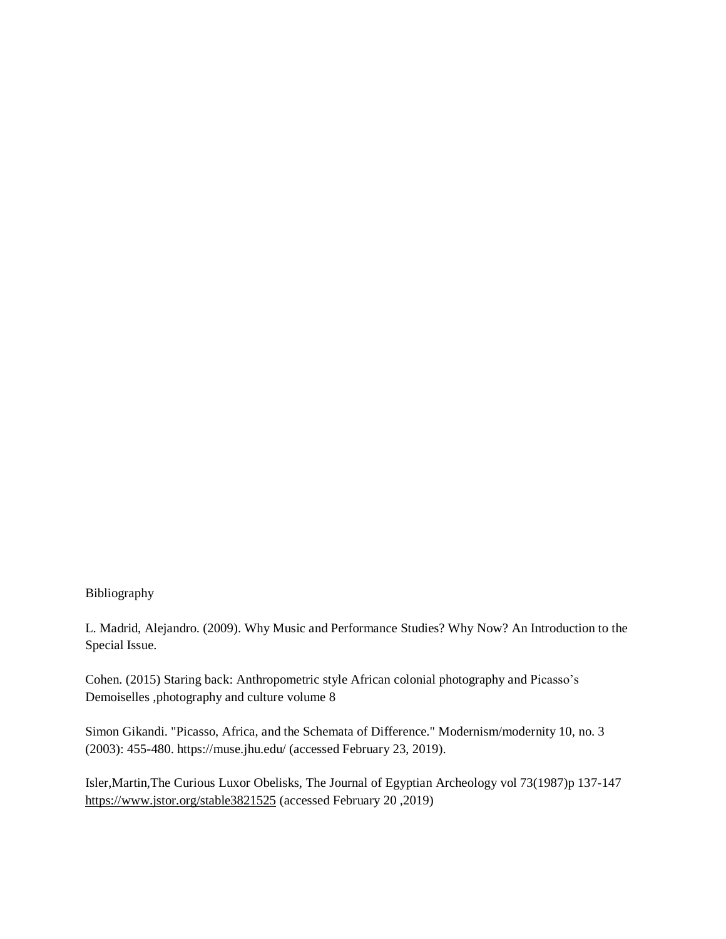## Bibliography

L. Madrid, Alejandro. (2009). Why Music and Performance Studies? Why Now? An Introduction to the Special Issue.

Cohen. (2015) Staring back: Anthropometric style African colonial photography and Picasso's Demoiselles ,photography and culture volume 8

Simon Gikandi. "Picasso, Africa, and the Schemata of Difference." Modernism/modernity 10, no. 3 (2003): 455-480. https://muse.jhu.edu/ (accessed February 23, 2019).

Isler,Martin,The Curious Luxor Obelisks, The Journal of Egyptian Archeology vol 73(1987)p 137-147 <https://www.jstor.org/stable3821525> (accessed February 20 ,2019)